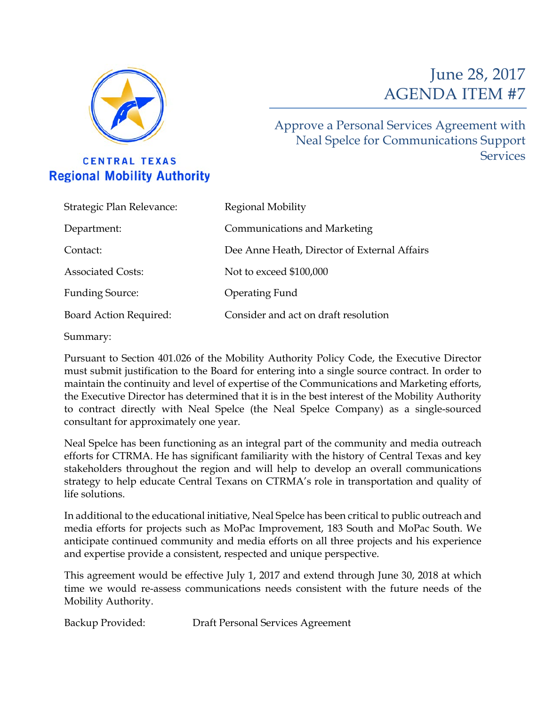

**CENTRAL TEXAS Regional Mobility Authority** 

# June 28, 2017 AGENDA ITEM #7

Approve a Personal Services Agreement with Neal Spelce for Communications Support Services

| Regional Mobility                            |
|----------------------------------------------|
| Communications and Marketing                 |
| Dee Anne Heath, Director of External Affairs |
| Not to exceed \$100,000                      |
| Operating Fund                               |
| Consider and act on draft resolution         |
|                                              |

Summary:

Pursuant to Section 401.026 of the Mobility Authority Policy Code, the Executive Director must submit justification to the Board for entering into a single source contract. In order to maintain the continuity and level of expertise of the Communications and Marketing efforts, the Executive Director has determined that it is in the best interest of the Mobility Authority to contract directly with Neal Spelce (the Neal Spelce Company) as a single-sourced consultant for approximately one year.

Neal Spelce has been functioning as an integral part of the community and media outreach efforts for CTRMA. He has significant familiarity with the history of Central Texas and key stakeholders throughout the region and will help to develop an overall communications strategy to help educate Central Texans on CTRMA's role in transportation and quality of life solutions.

In additional to the educational initiative, Neal Spelce has been critical to public outreach and media efforts for projects such as MoPac Improvement, 183 South and MoPac South. We anticipate continued community and media efforts on all three projects and his experience and expertise provide a consistent, respected and unique perspective.

This agreement would be effective July 1, 2017 and extend through June 30, 2018 at which time we would re-assess communications needs consistent with the future needs of the Mobility Authority.

Backup Provided: Draft Personal Services Agreement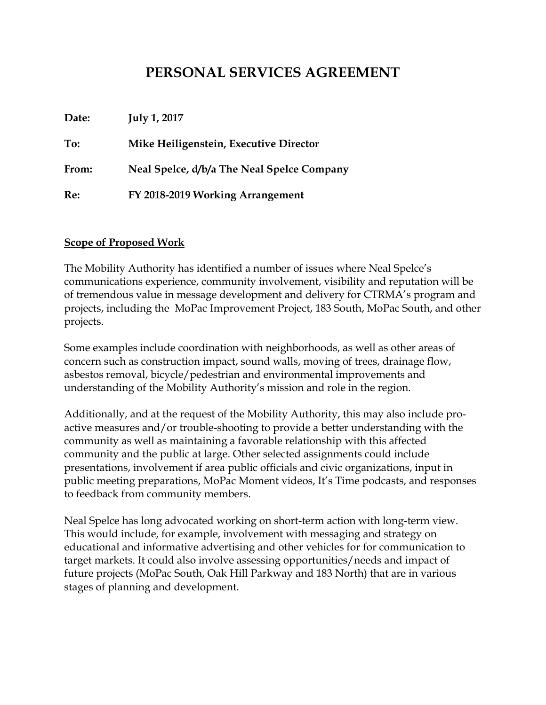## **PERSONAL SERVICES AGREEMENT**

**Date: July 1, 2017 To: Mike Heiligenstein, Executive Director From: Neal Spelce, d/b/a The Neal Spelce Company Re: FY 2018-2019 Working Arrangement**

#### **Scope of Proposed Work**

The Mobility Authority has identified a number of issues where Neal Spelce's communications experience, community involvement, visibility and reputation will be of tremendous value in message development and delivery for CTRMA's program and projects, including the MoPac Improvement Project, 183 South, MoPac South, and other projects.

Some examples include coordination with neighborhoods, as well as other areas of concern such as construction impact, sound walls, moving of trees, drainage flow, asbestos removal, bicycle/pedestrian and environmental improvements and understanding of the Mobility Authority's mission and role in the region.

Additionally, and at the request of the Mobility Authority, this may also include proactive measures and/or trouble-shooting to provide a better understanding with the community as well as maintaining a favorable relationship with this affected community and the public at large. Other selected assignments could include presentations, involvement if area public officials and civic organizations, input in public meeting preparations, MoPac Moment videos, It's Time podcasts, and responses to feedback from community members.

Neal Spelce has long advocated working on short-term action with long-term view. This would include, for example, involvement with messaging and strategy on educational and informative advertising and other vehicles for for communication to target markets. It could also involve assessing opportunities/needs and impact of future projects (MoPac South, Oak Hill Parkway and 183 North) that are in various stages of planning and development.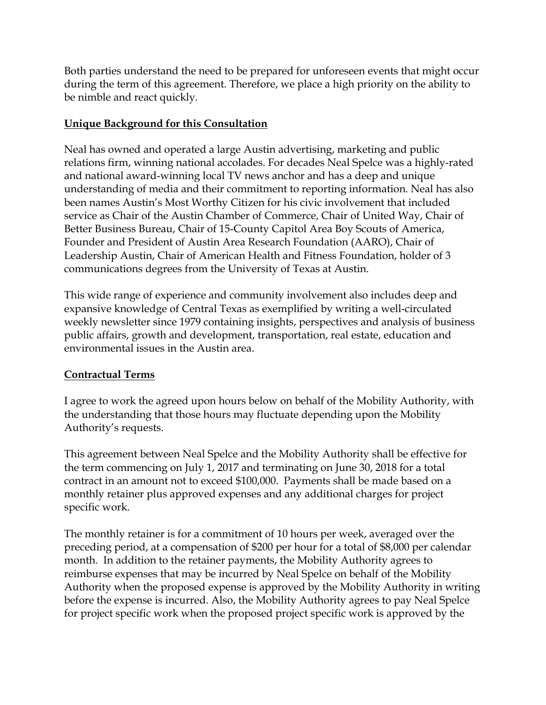Both parties understand the need to be prepared for unforeseen events that might occur during the term of this agreement. Therefore, we place a high priority on the ability to be nimble and react quickly.

#### **Unique Background for this Consultation**

Neal has owned and operated a large Austin advertising, marketing and public relations firm, winning national accolades. For decades Neal Spelce was a highly-rated and national award-winning local TV news anchor and has a deep and unique understanding of media and their commitment to reporting information. Neal has also been names Austin's Most Worthy Citizen for his civic involvement that included service as Chair of the Austin Chamber of Commerce, Chair of United Way, Chair of Better Business Bureau, Chair of 15-County Capitol Area Boy Scouts of America, Founder and President of Austin Area Research Foundation (AARO), Chair of Leadership Austin, Chair of American Health and Fitness Foundation, holder of 3 communications degrees from the University of Texas at Austin.

This wide range of experience and community involvement also includes deep and expansive knowledge of Central Texas as exemplified by writing a well-circulated weekly newsletter since 1979 containing insights, perspectives and analysis of business public affairs, growth and development, transportation, real estate, education and environmental issues in the Austin area.

### **Contractual Terms**

I agree to work the agreed upon hours below on behalf of the Mobility Authority, with the understanding that those hours may fluctuate depending upon the Mobility Authority's requests.

This agreement between Neal Spelce and the Mobility Authority shall be effective for the term commencing on July 1, 2017 and terminating on June 30, 2018 for a total contract in an amount not to exceed \$100,000. Payments shall be made based on a monthly retainer plus approved expenses and any additional charges for project specific work.

The monthly retainer is for a commitment of 10 hours per week, averaged over the preceding period, at a compensation of \$200 per hour for a total of \$8,000 per calendar month. In addition to the retainer payments, the Mobility Authority agrees to reimburse expenses that may be incurred by Neal Spelce on behalf of the Mobility Authority when the proposed expense is approved by the Mobility Authority in writing before the expense is incurred. Also, the Mobility Authority agrees to pay Neal Spelce for project specific work when the proposed project specific work is approved by the